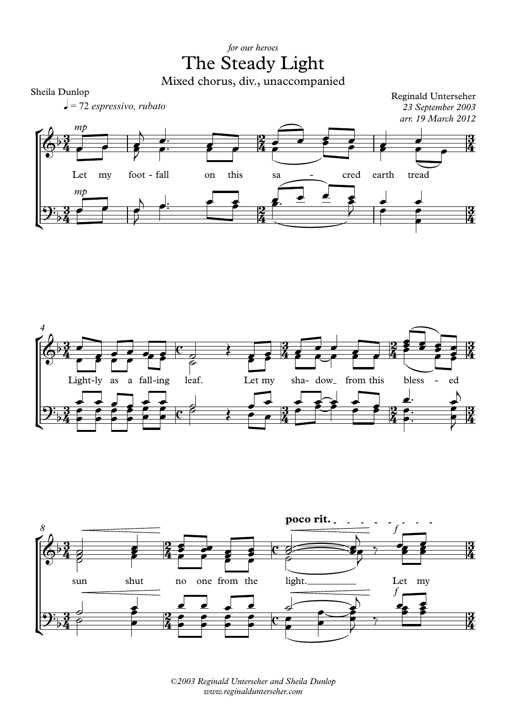## *for our heroes* The Steady Light

Mixed chorus, div., unaccompanied









*©2003 Reginald Unterseher and Sheila Dunlop www.reginaldunterseher.com*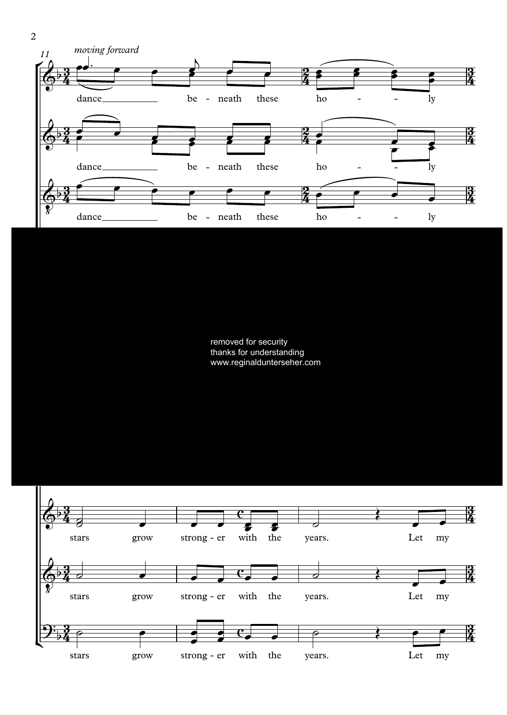

removed for security thanks for understanding www.reginaldunterseher.com



2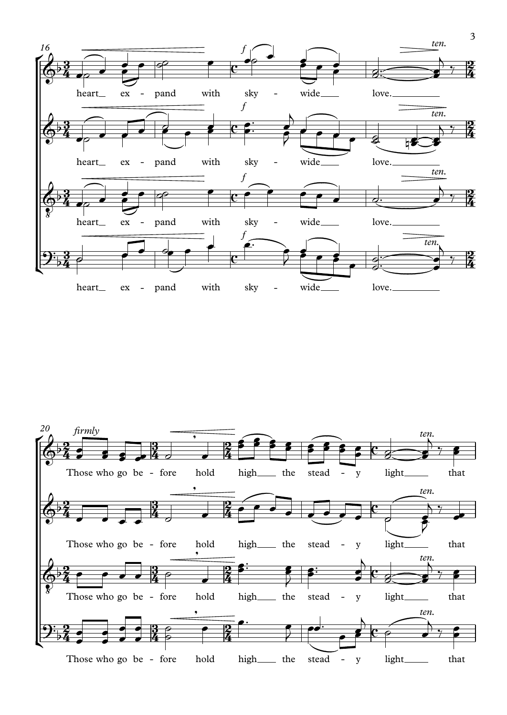